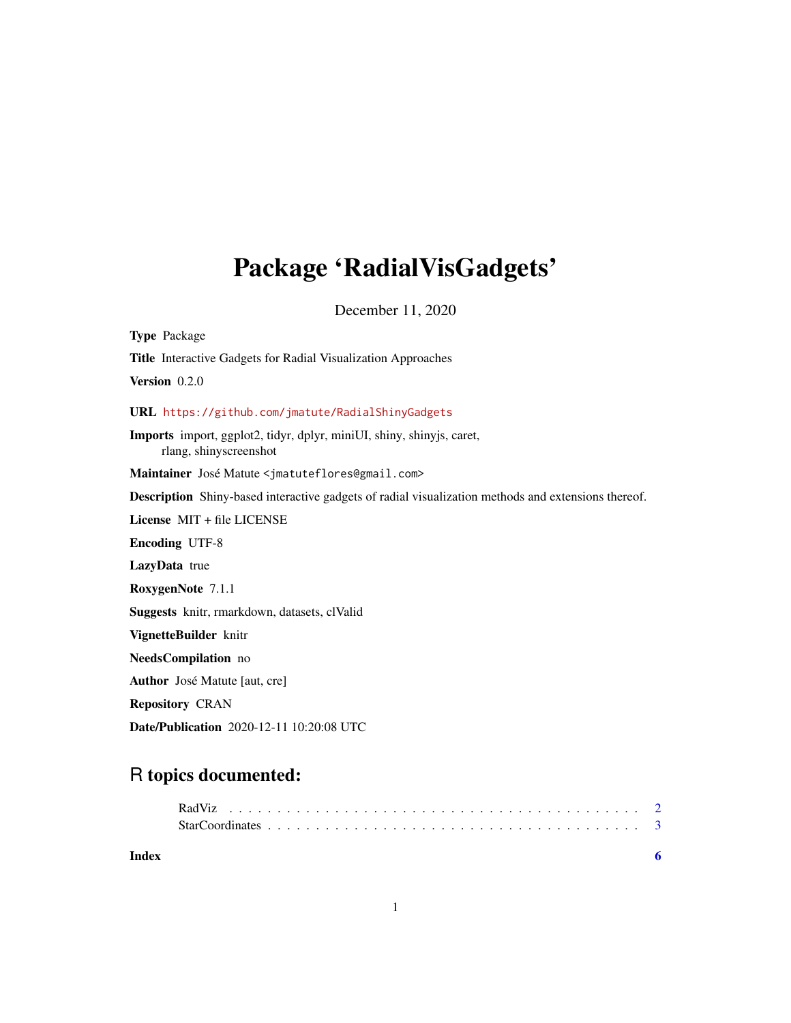## Package 'RadialVisGadgets'

December 11, 2020

Type Package Title Interactive Gadgets for Radial Visualization Approaches Version 0.2.0 URL <https://github.com/jmatute/RadialShinyGadgets> Imports import, ggplot2, tidyr, dplyr, miniUI, shiny, shinyjs, caret, rlang, shinyscreenshot Maintainer José Matute <jmatuteflores@gmail.com> Description Shiny-based interactive gadgets of radial visualization methods and extensions thereof. License MIT + file LICENSE Encoding UTF-8 LazyData true RoxygenNote 7.1.1 Suggests knitr, rmarkdown, datasets, clValid VignetteBuilder knitr NeedsCompilation no Author José Matute [aut, cre] Repository CRAN Date/Publication 2020-12-11 10:20:08 UTC

### R topics documented:

| Index |  |
|-------|--|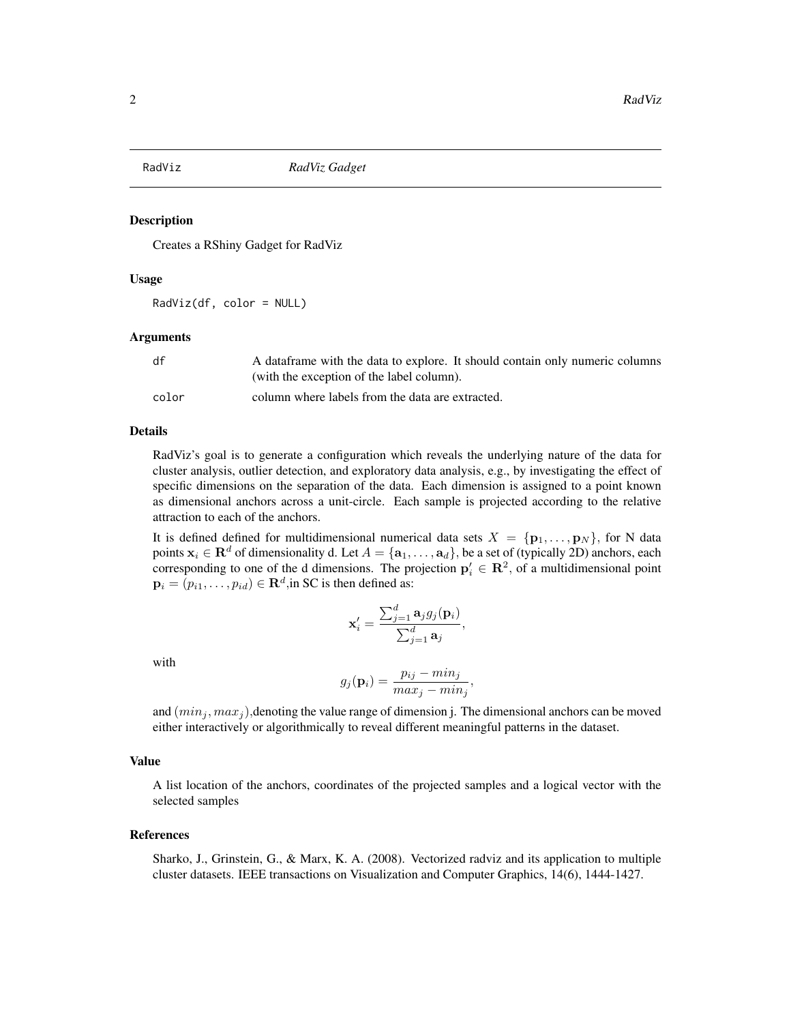<span id="page-1-0"></span>

#### Description

Creates a RShiny Gadget for RadViz

#### Usage

RadViz(df, color = NULL)

#### Arguments

| df    | A data frame with the data to explore. It should contain only numeric columns |
|-------|-------------------------------------------------------------------------------|
|       | (with the exception of the label column).                                     |
| color | column where labels from the data are extracted.                              |

#### Details

RadViz's goal is to generate a configuration which reveals the underlying nature of the data for cluster analysis, outlier detection, and exploratory data analysis, e.g., by investigating the effect of specific dimensions on the separation of the data. Each dimension is assigned to a point known as dimensional anchors across a unit-circle. Each sample is projected according to the relative attraction to each of the anchors.

It is defined defined for multidimensional numerical data sets  $X = \{p_1, \ldots, p_N\}$ , for N data points  $x_i \in \mathbf{R}^d$  of dimensionality d. Let  $A = \{a_1, \ldots, a_d\}$ , be a set of (typically 2D) anchors, each corresponding to one of the d dimensions. The projection  $p'_i \in \mathbb{R}^2$ , of a multidimensional point  $\mathbf{p}_i = (p_{i1}, \dots, p_{id}) \in \mathbf{R}^d,$  in SC is then defined as:

$$
\mathbf{x}_i' = \frac{\sum_{j=1}^d \mathbf{a}_j g_j(\mathbf{p}_i)}{\sum_{j=1}^d \mathbf{a}_j},
$$

with

$$
g_j(\mathbf{p}_i) = \frac{p_{ij} - \min_j}{\max_j - \min_j},
$$

and  $(min_i, max_i)$ , denoting the value range of dimension j. The dimensional anchors can be moved either interactively or algorithmically to reveal different meaningful patterns in the dataset.

#### Value

A list location of the anchors, coordinates of the projected samples and a logical vector with the selected samples

#### References

Sharko, J., Grinstein, G., & Marx, K. A. (2008). Vectorized radviz and its application to multiple cluster datasets. IEEE transactions on Visualization and Computer Graphics, 14(6), 1444-1427.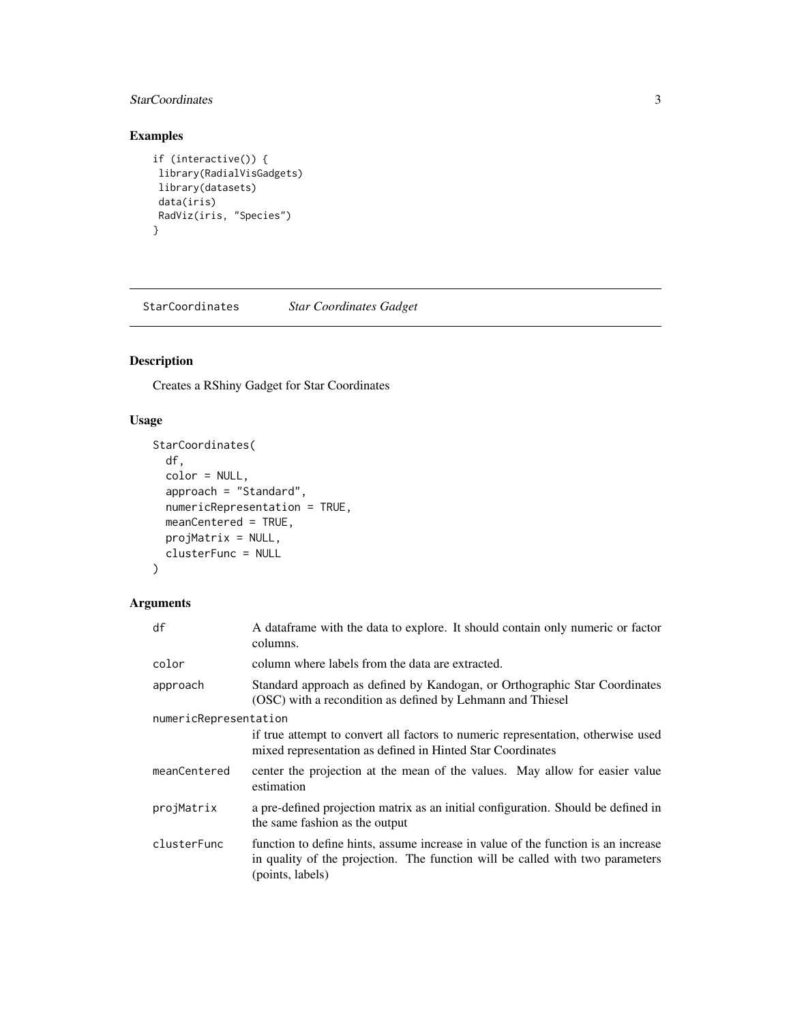#### <span id="page-2-0"></span>StarCoordinates 3

#### Examples

```
if (interactive()) {
library(RadialVisGadgets)
library(datasets)
data(iris)
RadViz(iris, "Species")
}
```
StarCoordinates *Star Coordinates Gadget*

#### Description

Creates a RShiny Gadget for Star Coordinates

#### Usage

```
StarCoordinates(
  df,
  color = NULL,
  approach = "Standard",
 numericRepresentation = TRUE,
 meanCentered = TRUE,
 projMatrix = NULL,
  clusterFunc = NULL
)
```
#### Arguments

| df                    | A dataframe with the data to explore. It should contain only numeric or factor<br>columns.                                                                                             |  |  |
|-----------------------|----------------------------------------------------------------------------------------------------------------------------------------------------------------------------------------|--|--|
| color                 | column where labels from the data are extracted.                                                                                                                                       |  |  |
| approach              | Standard approach as defined by Kandogan, or Orthographic Star Coordinates<br>(OSC) with a recondition as defined by Lehmann and Thiesel                                               |  |  |
| numericRepresentation |                                                                                                                                                                                        |  |  |
|                       | if true attempt to convert all factors to numeric representation, otherwise used<br>mixed representation as defined in Hinted Star Coordinates                                         |  |  |
| meanCentered          | center the projection at the mean of the values. May allow for easier value<br>estimation                                                                                              |  |  |
| projMatrix            | a pre-defined projection matrix as an initial configuration. Should be defined in<br>the same fashion as the output                                                                    |  |  |
| clusterFunc           | function to define hints, assume increase in value of the function is an increase<br>in quality of the projection. The function will be called with two parameters<br>(points, labels) |  |  |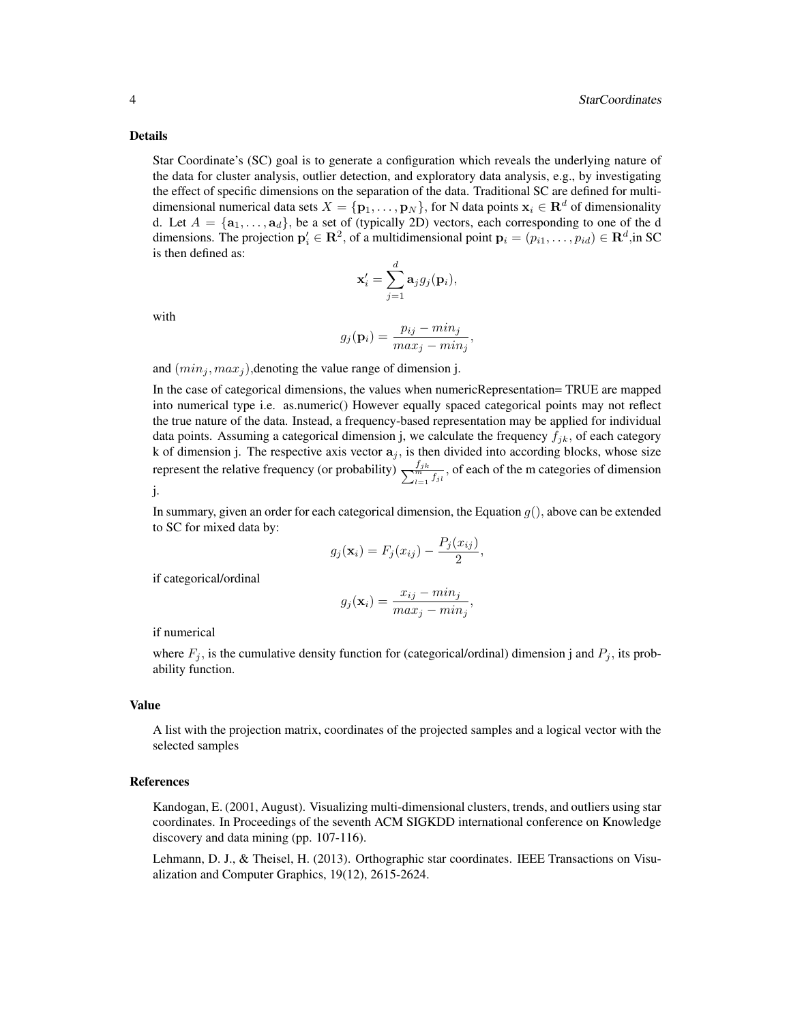#### Details

Star Coordinate's (SC) goal is to generate a configuration which reveals the underlying nature of the data for cluster analysis, outlier detection, and exploratory data analysis, e.g., by investigating the effect of specific dimensions on the separation of the data. Traditional SC are defined for multidimensional numerical data sets  $X = \{p_1, \ldots, p_N\}$ , for N data points  $x_i \in \mathbb{R}^d$  of dimensionality d. Let  $A = {\{a_1, \ldots, a_d\}}$ , be a set of (typically 2D) vectors, each corresponding to one of the d dimensions. The projection  $p'_i \in \mathbf{R}^2$ , of a multidimensional point  $p_i = (p_{i1}, \dots, p_{id}) \in \mathbf{R}^d$ , in SC is then defined as:

$$
\mathbf{x}'_i = \sum_{j=1}^d \mathbf{a}_j g_j(\mathbf{p}_i),
$$

with

$$
g_j(\mathbf{p}_i) = \frac{p_{ij} - min_j}{max_j - min_j},
$$

and  $(min_j, max_j)$ , denoting the value range of dimension j.

In the case of categorical dimensions, the values when numericRepresentation= TRUE are mapped into numerical type i.e. as.numeric() However equally spaced categorical points may not reflect the true nature of the data. Instead, a frequency-based representation may be applied for individual data points. Assuming a categorical dimension j, we calculate the frequency  $f_{jk}$ , of each category k of dimension j. The respective axis vector  $a_j$ , is then divided into according blocks, whose size represent the relative frequency (or probability)  $\frac{f_{jk}}{\sum_{t=1}^{m} f_{jt}}$ , of each of the m categories of dimension j.

In summary, given an order for each categorical dimension, the Equation  $g()$ , above can be extended to SC for mixed data by:

$$
g_j(\mathbf{x}_i) = F_j(x_{ij}) - \frac{P_j(x_{ij})}{2},
$$

if categorical/ordinal

$$
g_j(\mathbf{x}_i) = \frac{x_{ij} - \min_j}{\max_j - \min_j},
$$

if numerical

where  $F_j$ , is the cumulative density function for (categorical/ordinal) dimension j and  $P_j$ , its probability function.

#### Value

A list with the projection matrix, coordinates of the projected samples and a logical vector with the selected samples

#### References

Kandogan, E. (2001, August). Visualizing multi-dimensional clusters, trends, and outliers using star coordinates. In Proceedings of the seventh ACM SIGKDD international conference on Knowledge discovery and data mining (pp. 107-116).

Lehmann, D. J., & Theisel, H. (2013). Orthographic star coordinates. IEEE Transactions on Visualization and Computer Graphics, 19(12), 2615-2624.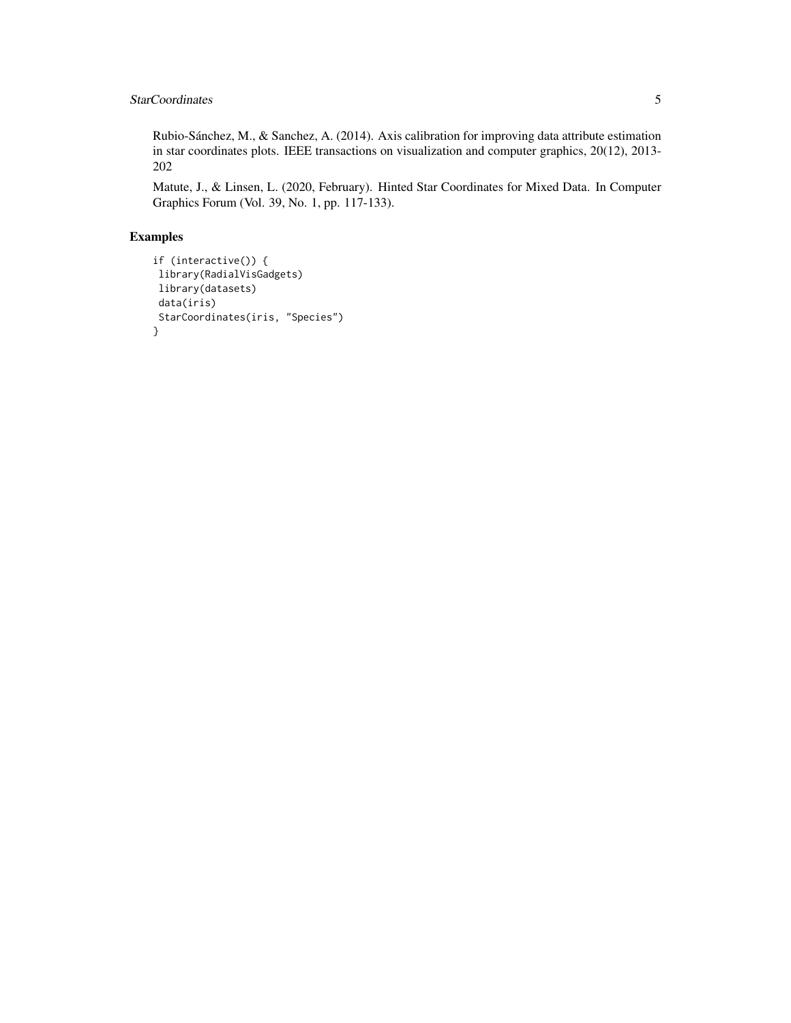#### StarCoordinates 5

Rubio-Sánchez, M., & Sanchez, A. (2014). Axis calibration for improving data attribute estimation in star coordinates plots. IEEE transactions on visualization and computer graphics, 20(12), 2013- 202

Matute, J., & Linsen, L. (2020, February). Hinted Star Coordinates for Mixed Data. In Computer Graphics Forum (Vol. 39, No. 1, pp. 117-133).

#### Examples

```
if (interactive()) {
library(RadialVisGadgets)
library(datasets)
data(iris)
StarCoordinates(iris, "Species")
}
```